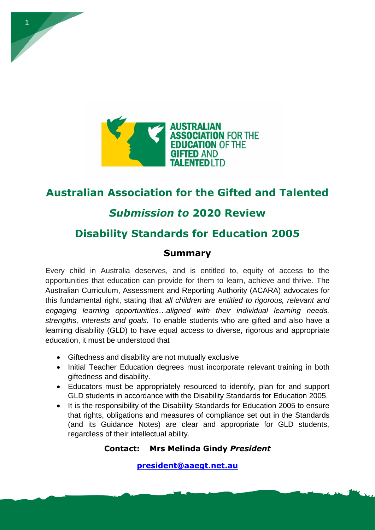

# **Australian Association for the Gifted and Talented**

# *Submission to* **2020 Review**

# **Disability Standards for Education 2005**

# **Summary**

Every child in Australia deserves, and is entitled to, equity of access to the opportunities that education can provide for them to learn, achieve and thrive. The Australian Curriculum, Assessment and Reporting Authority (ACARA) advocates for this fundamental right, stating that *all children are entitled to rigorous, relevant and engaging learning opportunities…aligned with their individual learning needs, strengths, interests and goals.* To enable students who are gifted and also have a learning disability (GLD) to have equal access to diverse, rigorous and appropriate education, it must be understood that

- Giftedness and disability are not mutually exclusive
- Initial Teacher Education degrees must incorporate relevant training in both giftedness and disability.
- Educators must be appropriately resourced to identify, plan for and support GLD students in accordance with the Disability Standards for Education 2005.
- It is the responsibility of the Disability Standards for Education 2005 to ensure that rights, obligations and measures of compliance set out in the Standards (and its Guidance Notes) are clear and appropriate for GLD students, regardless of their intellectual ability.

## **Contact: Mrs Melinda Gindy** *President*

**[president@aaegt.net.au](mailto:president@aaegt.net.au)**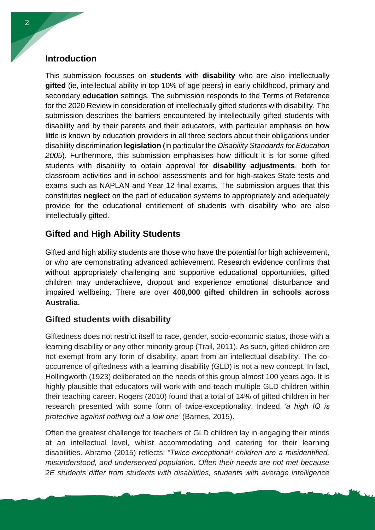## **Introduction**

This submission focusses on **students** with **disability** who are also intellectually **gifted** (ie, intellectual ability in top 10% of age peers) in early childhood, primary and secondary **education** settings. The submission responds to the Terms of Reference for the 2020 Review in consideration of intellectually gifted students with disability. The submission describes the barriers encountered by intellectually gifted students with disability and by their parents and their educators, with particular emphasis on how little is known by education providers in all three sectors about their obligations under disability discrimination **legislation** (in particular the *Disability Standards for Education 2005*). Furthermore, this submission emphasises how difficult it is for some gifted students with disability to obtain approval for **disability adjustments**, both for classroom activities and in-school assessments and for high-stakes State tests and exams such as NAPLAN and Year 12 final exams. The submission argues that this constitutes **neglect** on the part of education systems to appropriately and adequately provide for the educational entitlement of students with disability who are also intellectually gifted.

# **Gifted and High Ability Students**

Gifted and high ability students are those who have the potential for high achievement, or who are demonstrating advanced achievement. Research evidence confirms that without appropriately challenging and supportive educational opportunities, gifted children may underachieve, dropout and experience emotional disturbance and impaired wellbeing. There are over **400,000 gifted children in schools across Australia.** 

## **Gifted students with disability**

Giftedness does not restrict itself to race, gender, socio-economic status, those with a learning disability or any other minority group (Trail, 2011). As such, gifted children are not exempt from any form of disability, apart from an intellectual disability. The cooccurrence of giftedness with a learning disability (GLD) is not a new concept. In fact, Hollingworth (1923) deliberated on the needs of this group almost 100 years ago. It is highly plausible that educators will work with and teach multiple GLD children within their teaching career. Rogers (2010) found that a total of 14% of gifted children in her research presented with some form of twice-exceptionality. Indeed, *'a high IQ is protective against nothing but a low one'* (Barnes, 2015).

Often the greatest challenge for teachers of GLD children lay in engaging their minds at an intellectual level, whilst accommodating and catering for their learning disabilities. Abramo (2015) reflects: *"Twice-exceptional\* children are a misidentified, misunderstood, and underserved population. Often their needs are not met because 2E students differ from students with disabilities, students with average intelligence*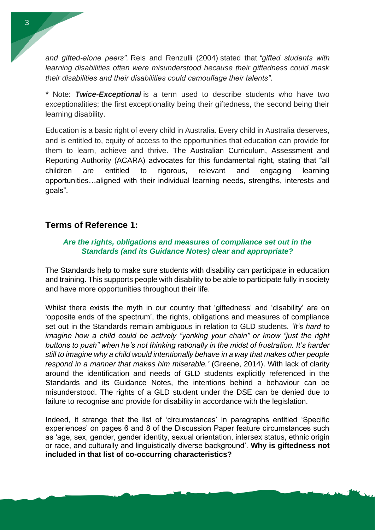*and gifted-alone peers".* Reis and Renzulli (2004) stated that *"gifted students with learning disabilities often were misunderstood because their giftedness could mask their disabilities and their disabilities could camouflage their talents"*.

*\** Note: *Twice-Exceptional* is a term used to describe students who have two exceptionalities; the first exceptionality being their giftedness, the second being their learning disability.

Education is a basic right of every child in Australia. Every child in Australia deserves, and is entitled to, equity of access to the opportunities that education can provide for them to learn, achieve and thrive. The Australian Curriculum, Assessment and Reporting Authority (ACARA) advocates for this fundamental right, stating that "all children are entitled to rigorous, relevant and engaging learning opportunities…aligned with their individual learning needs, strengths, interests and goals".

### **Terms of Reference 1:**

#### *Are the rights, obligations and measures of compliance set out in the Standards (and its Guidance Notes) clear and appropriate?*

The Standards help to make sure students with disability can participate in education and training. This supports people with disability to be able to participate fully in society and have more opportunities throughout their life.

Whilst there exists the myth in our country that 'giftedness' and 'disability' are on 'opposite ends of the spectrum', the rights, obligations and measures of compliance set out in the Standards remain ambiguous in relation to GLD students. *'It's hard to imagine how a child could be actively "yanking your chain" or know "just the right buttons to push" when he's not thinking rationally in the midst of frustration. It's harder still to imagine why a child would intentionally behave in a way that makes other people respond in a manner that makes him miserable.'* (Greene, 2014). With lack of clarity around the identification and needs of GLD students explicitly referenced in the Standards and its Guidance Notes, the intentions behind a behaviour can be misunderstood. The rights of a GLD student under the DSE can be denied due to failure to recognise and provide for disability in accordance with the legislation.

Indeed, it strange that the list of 'circumstances' in paragraphs entitled 'Specific experiences' on pages 6 and 8 of the Discussion Paper feature circumstances such as 'age, sex, gender, gender identity, sexual orientation, intersex status, ethnic origin or race, and culturally and linguistically diverse background'. **Why is giftedness not included in that list of co-occurring characteristics?**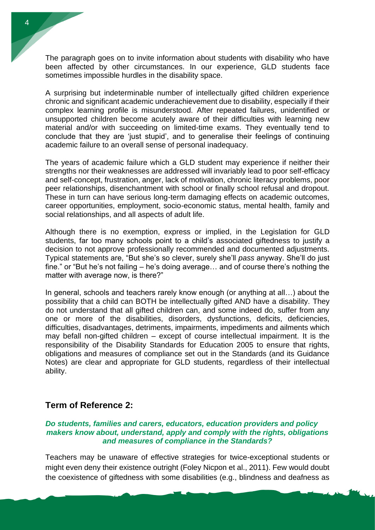The paragraph goes on to invite information about students with disability who have been affected by other circumstances. In our experience, GLD students face sometimes impossible hurdles in the disability space.

A surprising but indeterminable number of intellectually gifted children experience chronic and significant academic underachievement due to disability, especially if their complex learning profile is misunderstood. After repeated failures, unidentified or unsupported children become acutely aware of their difficulties with learning new material and/or with succeeding on limited-time exams. They eventually tend to conclude that they are 'just stupid', and to generalise their feelings of continuing academic failure to an overall sense of personal inadequacy.

The years of academic failure which a GLD student may experience if neither their strengths nor their weaknesses are addressed will invariably lead to poor self-efficacy and self-concept, frustration, anger, lack of motivation, chronic literacy problems, poor peer relationships, disenchantment with school or finally school refusal and dropout. These in turn can have serious long-term damaging effects on academic outcomes, career opportunities, employment, socio-economic status, mental health, family and social relationships, and all aspects of adult life.

Although there is no exemption, express or implied, in the Legislation for GLD students, far too many schools point to a child's associated giftedness to justify a decision to not approve professionally recommended and documented adjustments. Typical statements are, "But she's so clever, surely she'll *pass* anyway. She'll do just fine." or "But he's not failing – he's doing average… and of course there's nothing the matter with average now, is there?"

In general, schools and teachers rarely know enough (or anything at all…) about the possibility that a child can BOTH be intellectually gifted AND have a disability. They do not understand that all gifted children can, and some indeed do, suffer from any one or more of the disabilities, disorders, dysfunctions, deficits, deficiencies, difficulties, disadvantages, detriments, impairments, impediments and ailments which may befall non-gifted children – except of course intellectual impairment. It is the responsibility of the Disability Standards for Education 2005 to ensure that rights, obligations and measures of compliance set out in the Standards (and its Guidance Notes) are clear and appropriate for GLD students, regardless of their intellectual ability.

#### **Term of Reference 2:**

#### *Do students, families and carers, educators, education providers and policy makers know about, understand, apply and comply with the rights, obligations and measures of compliance in the Standards?*

Teachers may be unaware of effective strategies for twice-exceptional students or might even deny their existence outright (Foley Nicpon et al., 2011). Few would doubt the coexistence of giftedness with some disabilities (e.g., blindness and deafness as

4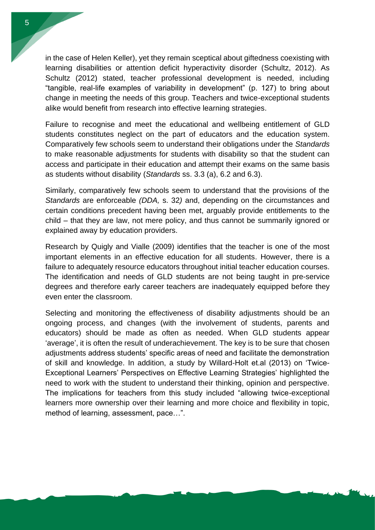in the case of Helen Keller), yet they remain sceptical about giftedness coexisting with learning disabilities or attention deficit hyperactivity disorder (Schultz, 2012). As Schultz (2012) stated, teacher professional development is needed, including "tangible, real-life examples of variability in development" (p. 127) to bring about change in meeting the needs of this group. Teachers and twice-exceptional students alike would benefit from research into effective learning strategies.

Failure to recognise and meet the educational and wellbeing entitlement of GLD students constitutes neglect on the part of educators and the education system. Comparatively few schools seem to understand their obligations under the *Standards* to make reasonable adjustments for students with disability so that the student can access and participate in their education and attempt their exams on the same basis as students without disability (*Standards* ss. 3.3 (a), 6.2 and 6.3).

Similarly, comparatively few schools seem to understand that the provisions of the *Standards* are enforceable *(DDA,* s. 32*)* and, depending on the circumstances and certain conditions precedent having been met, arguably provide entitlements to the child – that they are law, not mere policy, and thus cannot be summarily ignored or explained away by education providers.

Research by Quigly and Vialle (2009) identifies that the teacher is one of the most important elements in an effective education for all students. However, there is a failure to adequately resource educators throughout initial teacher education courses. The identification and needs of GLD students are not being taught in pre-service degrees and therefore early career teachers are inadequately equipped before they even enter the classroom.

Selecting and monitoring the effectiveness of disability adjustments should be an ongoing process, and changes (with the involvement of students, parents and educators) should be made as often as needed. When GLD students appear 'average', it is often the result of underachievement. The key is to be sure that chosen adjustments address students' specific areas of need and facilitate the demonstration of skill and knowledge. In addition, a study by Willard-Holt et.al (2013) on 'Twice-Exceptional Learners' Perspectives on Effective Learning Strategies' highlighted the need to work with the student to understand their thinking, opinion and perspective. The implications for teachers from this study included "allowing twice-exceptional learners more ownership over their learning and more choice and flexibility in topic, method of learning, assessment, pace…".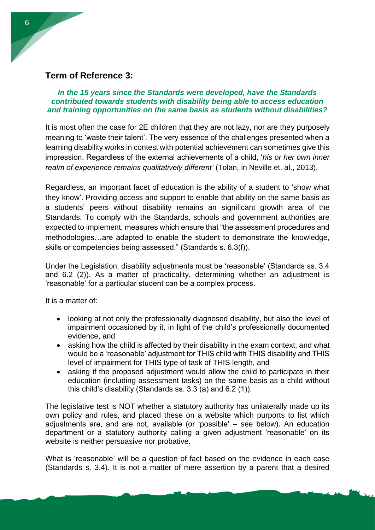#### **Term of Reference 3:**

*In the 15 years since the Standards were developed, have the Standards contributed towards students with disability being able to access education and training opportunities on the same basis as students without disabilities?*

It is most often the case for 2E children that they are not lazy, nor are they purposely meaning to 'waste their talent'. The very essence of the challenges presented when a learning disability works in contest with potential achievement can sometimes give this impression. Regardless of the external achievements of a child, '*his or her own inner realm of experience remains qualitatively different'* (Tolan, in Neville et. al., 2013).

Regardless, an important facet of education is the ability of a student to 'show what they know'. Providing access and support to enable that ability on the same basis as a students' peers without disability remains an significant growth area of the Standards. To comply with the Standards, schools and government authorities are expected to implement, measures which ensure that "the assessment procedures and methodologies…are adapted to enable the student to demonstrate the knowledge, skills or competencies being assessed." (Standards s. 6.3(f)).

Under the Legislation, disability adjustments must be 'reasonable' (Standards ss. 3.4 and 6.2 (2)). As a matter of practicality, determining whether an adjustment is 'reasonable' for a particular student can be a complex process.

It is a matter of:

- looking at not only the professionally diagnosed disability, but also the level of impairment occasioned by it, in light of the child's professionally documented evidence, and
- asking how the child is affected by their disability in the exam context, and what would be a 'reasonable' adjustment for THIS child with THIS disability and THIS level of impairment for THIS type of task of THIS length, and
- asking if the proposed adjustment would allow the child to participate in their education (including assessment tasks) on the same basis as a child without this child's disability (Standards ss. 3.3 (a) and 6.2 (1)).

The legislative test is NOT whether a statutory authority has unilaterally made up its own policy and rules, and placed these on a website which purports to list which adjustments are, and are not, available (or 'possible' – see below). An education department or a statutory authority calling a given adjustment 'reasonable' on its website is neither persuasive nor probative.

What is 'reasonable' will be a question of fact based on the evidence in each case (Standards s. 3.4). It is not a matter of mere assertion by a parent that a desired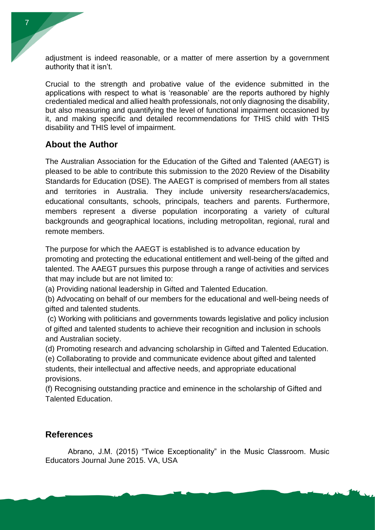adjustment is indeed reasonable, or a matter of mere assertion by a government authority that it isn't.

Crucial to the strength and probative value of the evidence submitted in the applications with respect to what is 'reasonable' are the reports authored by highly credentialed medical and allied health professionals, not only diagnosing the disability, but also measuring and quantifying the level of functional impairment occasioned by it, and making specific and detailed recommendations for THIS child with THIS disability and THIS level of impairment.

### **About the Author**

The Australian Association for the Education of the Gifted and Talented (AAEGT) is pleased to be able to contribute this submission to the 2020 Review of the Disability Standards for Education (DSE). The AAEGT is comprised of members from all states and territories in Australia. They include university researchers/academics, educational consultants, schools, principals, teachers and parents. Furthermore, members represent a diverse population incorporating a variety of cultural backgrounds and geographical locations, including metropolitan, regional, rural and remote members.

The purpose for which the AAEGT is established is to advance education by promoting and protecting the educational entitlement and well-being of the gifted and talented. The AAEGT pursues this purpose through a range of activities and services that may include but are not limited to:

(a) Providing national leadership in Gifted and Talented Education.

(b) Advocating on behalf of our members for the educational and well-being needs of gifted and talented students.

(c) Working with politicians and governments towards legislative and policy inclusion of gifted and talented students to achieve their recognition and inclusion in schools and Australian society.

(d) Promoting research and advancing scholarship in Gifted and Talented Education.

(e) Collaborating to provide and communicate evidence about gifted and talented students, their intellectual and affective needs, and appropriate educational provisions.

(f) Recognising outstanding practice and eminence in the scholarship of Gifted and Talented Education.

#### **References**

Abrano, J.M. (2015) "Twice Exceptionality" in the Music Classroom. Music Educators Journal June 2015. VA, USA

7